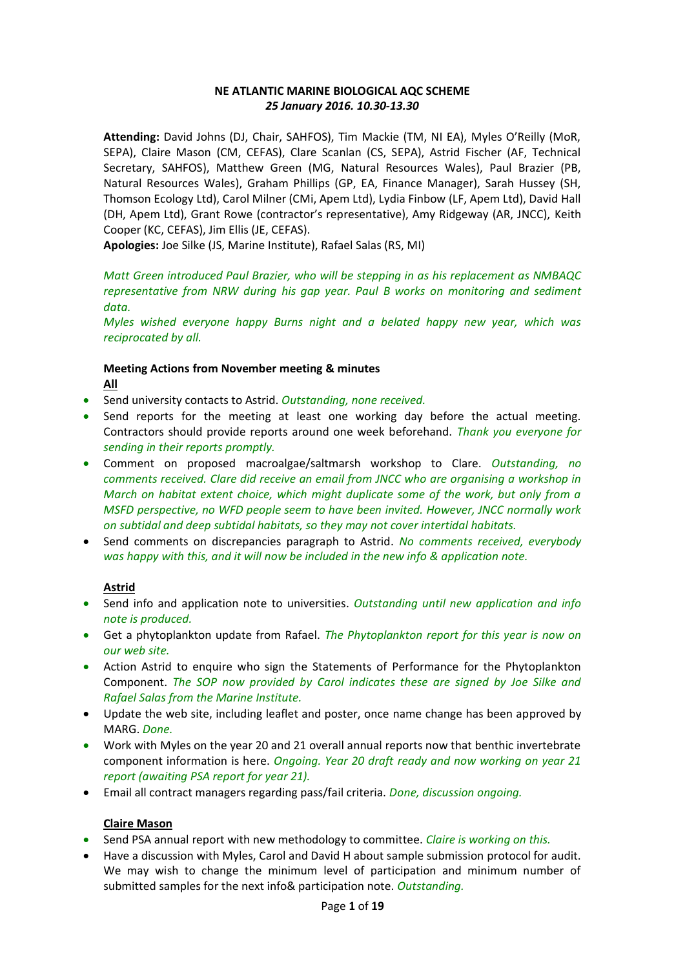## **NE ATLANTIC MARINE BIOLOGICAL AQC SCHEME** *25 January 2016. 10.30-13.30*

**Attending:** David Johns (DJ, Chair, SAHFOS), Tim Mackie (TM, NI EA), Myles O'Reilly (MoR, SEPA), Claire Mason (CM, CEFAS), Clare Scanlan (CS, SEPA), Astrid Fischer (AF, Technical Secretary, SAHFOS), Matthew Green (MG, Natural Resources Wales), Paul Brazier (PB, Natural Resources Wales), Graham Phillips (GP, EA, Finance Manager), Sarah Hussey (SH, Thomson Ecology Ltd), Carol Milner (CMi, Apem Ltd), Lydia Finbow (LF, Apem Ltd), David Hall (DH, Apem Ltd), Grant Rowe (contractor's representative), Amy Ridgeway (AR, JNCC), Keith Cooper (KC, CEFAS), Jim Ellis (JE, CEFAS).

**Apologies:** Joe Silke (JS, Marine Institute), Rafael Salas (RS, MI)

*Matt Green introduced Paul Brazier, who will be stepping in as his replacement as NMBAQC representative from NRW during his gap year. Paul B works on monitoring and sediment data.*

*Myles wished everyone happy Burns night and a belated happy new year, which was reciprocated by all.* 

## **Meeting Actions from November meeting & minutes All**

- Send university contacts to Astrid. *Outstanding, none received.*
- Send reports for the meeting at least one working day before the actual meeting. Contractors should provide reports around one week beforehand. *Thank you everyone for sending in their reports promptly.*
- Comment on proposed macroalgae/saltmarsh workshop to Clare. *Outstanding, no comments received. Clare did receive an email from JNCC who are organising a workshop in March on habitat extent choice, which might duplicate some of the work, but only from a MSFD perspective, no WFD people seem to have been invited. However, JNCC normally work on subtidal and deep subtidal habitats, so they may not cover intertidal habitats.*
- Send comments on discrepancies paragraph to Astrid. *No comments received, everybody was happy with this, and it will now be included in the new info & application note.*

# **Astrid**

- Send info and application note to universities. *Outstanding until new application and info note is produced.*
- Get a phytoplankton update from Rafael. *The Phytoplankton report for this year is now on our web site.*
- Action Astrid to enquire who sign the Statements of Performance for the Phytoplankton Component. *The SOP now provided by Carol indicates these are signed by Joe Silke and Rafael Salas from the Marine Institute.*
- Update the web site, including leaflet and poster, once name change has been approved by MARG. *Done.*
- Work with Myles on the year 20 and 21 overall annual reports now that benthic invertebrate component information is here. *Ongoing. Year 20 draft ready and now working on year 21 report (awaiting PSA report for year 21).*
- Email all contract managers regarding pass/fail criteria. *Done, discussion ongoing.*

# **Claire Mason**

- Send PSA annual report with new methodology to committee. *Claire is working on this.*
- Have a discussion with Myles, Carol and David H about sample submission protocol for audit. We may wish to change the minimum level of participation and minimum number of submitted samples for the next info& participation note. *Outstanding.*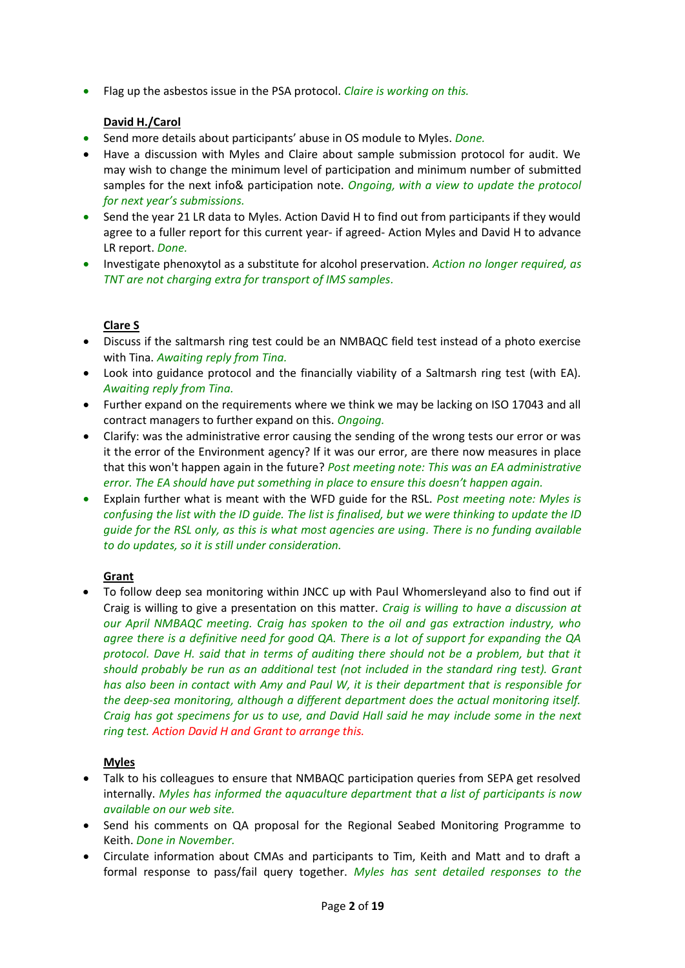• Flag up the asbestos issue in the PSA protocol. *Claire is working on this.*

## **David H./Carol**

- Send more details about participants' abuse in OS module to Myles. *Done.*
- Have a discussion with Myles and Claire about sample submission protocol for audit. We may wish to change the minimum level of participation and minimum number of submitted samples for the next info& participation note. *Ongoing, with a view to update the protocol for next year's submissions.*
- Send the year 21 LR data to Myles. Action David H to find out from participants if they would agree to a fuller report for this current year- if agreed- Action Myles and David H to advance LR report. *Done.*
- Investigate phenoxytol as a substitute for alcohol preservation. *Action no longer required, as TNT are not charging extra for transport of IMS samples.*

# **Clare S**

- Discuss if the saltmarsh ring test could be an NMBAQC field test instead of a photo exercise with Tina. *Awaiting reply from Tina.*
- Look into guidance protocol and the financially viability of a Saltmarsh ring test (with EA). *Awaiting reply from Tina.*
- Further expand on the requirements where we think we may be lacking on ISO 17043 and all contract managers to further expand on this. *Ongoing.*
- Clarify: was the administrative error causing the sending of the wrong tests our error or was it the error of the Environment agency? If it was our error, are there now measures in place that this won't happen again in the future? *Post meeting note: This was an EA administrative error. The EA should have put something in place to ensure this doesn't happen again.*
- Explain further what is meant with the WFD guide for the RSL. *Post meeting note: Myles is confusing the list with the ID guide. The list is finalised, but we were thinking to update the ID guide for the RSL only, as this is what most agencies are using. There is no funding available to do updates, so it is still under consideration.*

# **Grant**

• To follow deep sea monitoring within JNCC up with Paul Whomersleyand also to find out if Craig is willing to give a presentation on this matter. *Craig is willing to have a discussion at our April NMBAQC meeting. Craig has spoken to the oil and gas extraction industry, who agree there is a definitive need for good QA. There is a lot of support for expanding the QA protocol. Dave H. said that in terms of auditing there should not be a problem, but that it should probably be run as an additional test (not included in the standard ring test). Grant has also been in contact with Amy and Paul W, it is their department that is responsible for the deep-sea monitoring, although a different department does the actual monitoring itself. Craig has got specimens for us to use, and David Hall said he may include some in the next ring test. Action David H and Grant to arrange this.*

# **Myles**

- Talk to his colleagues to ensure that NMBAQC participation queries from SEPA get resolved internally. *Myles has informed the aquaculture department that a list of participants is now available on our web site.*
- Send his comments on QA proposal for the Regional Seabed Monitoring Programme to Keith. *Done in November.*
- Circulate information about CMAs and participants to Tim, Keith and Matt and to draft a formal response to pass/fail query together. *Myles has sent detailed responses to the*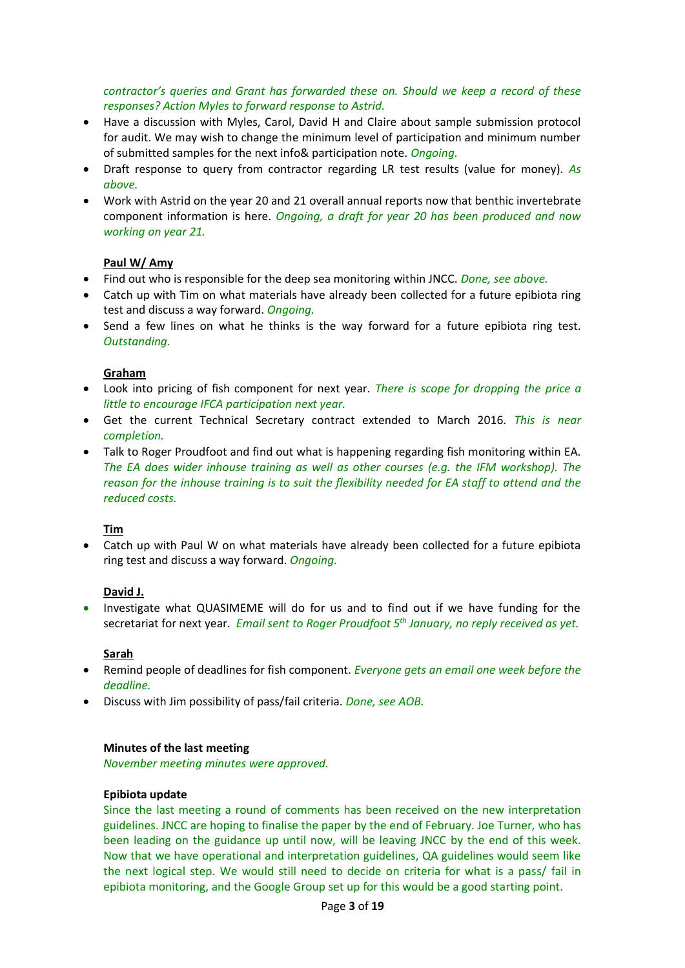*contractor's queries and Grant has forwarded these on. Should we keep a record of these responses? Action Myles to forward response to Astrid.*

- Have a discussion with Myles, Carol, David H and Claire about sample submission protocol for audit. We may wish to change the minimum level of participation and minimum number of submitted samples for the next info& participation note. *Ongoing.*
- Draft response to query from contractor regarding LR test results (value for money). *As above.*
- Work with Astrid on the year 20 and 21 overall annual reports now that benthic invertebrate component information is here. *Ongoing, a draft for year 20 has been produced and now working on year 21.*

## **Paul W/ Amy**

- Find out who is responsible for the deep sea monitoring within JNCC. *Done, see above.*
- Catch up with Tim on what materials have already been collected for a future epibiota ring test and discuss a way forward. *Ongoing.*
- Send a few lines on what he thinks is the way forward for a future epibiota ring test. *Outstanding.*

## **Graham**

- Look into pricing of fish component for next year. *There is scope for dropping the price a little to encourage IFCA participation next year.*
- Get the current Technical Secretary contract extended to March 2016. *This is near completion.*
- Talk to Roger Proudfoot and find out what is happening regarding fish monitoring within EA. *The EA does wider inhouse training as well as other courses (e.g. the IFM workshop). The reason for the inhouse training is to suit the flexibility needed for EA staff to attend and the reduced costs.*

## **Tim**

• Catch up with Paul W on what materials have already been collected for a future epibiota ring test and discuss a way forward. *Ongoing.*

## **David J.**

• Investigate what QUASIMEME will do for us and to find out if we have funding for the secretariat for next year. *Email sent to Roger Proudfoot 5th January, no reply received as yet.*

## **Sarah**

- Remind people of deadlines for fish component. *Everyone gets an email one week before the deadline.*
- Discuss with Jim possibility of pass/fail criteria. *Done, see AOB.*

## **Minutes of the last meeting**

*November meeting minutes were approved.*

## **Epibiota update**

Since the last meeting a round of comments has been received on the new interpretation guidelines. JNCC are hoping to finalise the paper by the end of February. Joe Turner, who has been leading on the guidance up until now, will be leaving JNCC by the end of this week. Now that we have operational and interpretation guidelines, QA guidelines would seem like the next logical step. We would still need to decide on criteria for what is a pass/ fail in epibiota monitoring, and the Google Group set up for this would be a good starting point.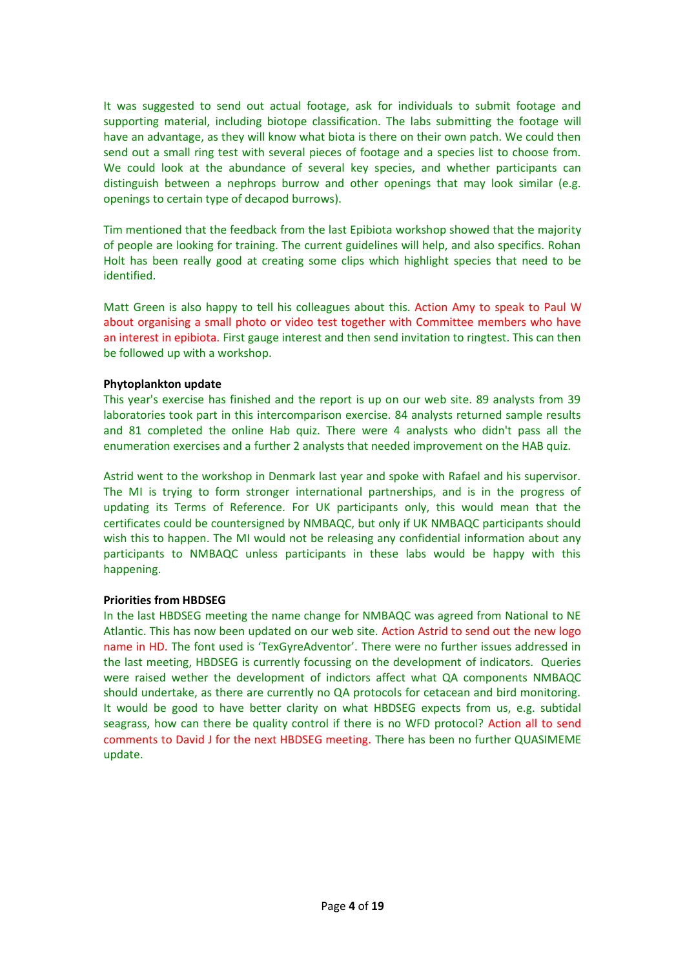It was suggested to send out actual footage, ask for individuals to submit footage and supporting material, including biotope classification. The labs submitting the footage will have an advantage, as they will know what biota is there on their own patch. We could then send out a small ring test with several pieces of footage and a species list to choose from. We could look at the abundance of several key species, and whether participants can distinguish between a nephrops burrow and other openings that may look similar (e.g. openings to certain type of decapod burrows).

Tim mentioned that the feedback from the last Epibiota workshop showed that the majority of people are looking for training. The current guidelines will help, and also specifics. Rohan Holt has been really good at creating some clips which highlight species that need to be identified.

Matt Green is also happy to tell his colleagues about this. Action Amy to speak to Paul W about organising a small photo or video test together with Committee members who have an interest in epibiota. First gauge interest and then send invitation to ringtest. This can then be followed up with a workshop.

## **Phytoplankton update**

This year's exercise has finished and the report is up on our web site. 89 analysts from 39 laboratories took part in this intercomparison exercise. 84 analysts returned sample results and 81 completed the online Hab quiz. There were 4 analysts who didn't pass all the enumeration exercises and a further 2 analysts that needed improvement on the HAB quiz.

Astrid went to the workshop in Denmark last year and spoke with Rafael and his supervisor. The MI is trying to form stronger international partnerships, and is in the progress of updating its Terms of Reference. For UK participants only, this would mean that the certificates could be countersigned by NMBAQC, but only if UK NMBAQC participants should wish this to happen. The MI would not be releasing any confidential information about any participants to NMBAQC unless participants in these labs would be happy with this happening.

## **Priorities from HBDSEG**

In the last HBDSEG meeting the name change for NMBAQC was agreed from National to NE Atlantic. This has now been updated on our web site. Action Astrid to send out the new logo name in HD. The font used is 'TexGyreAdventor'. There were no further issues addressed in the last meeting, HBDSEG is currently focussing on the development of indicators. Queries were raised wether the development of indictors affect what QA components NMBAQC should undertake, as there are currently no QA protocols for cetacean and bird monitoring. It would be good to have better clarity on what HBDSEG expects from us, e.g. subtidal seagrass, how can there be quality control if there is no WFD protocol? Action all to send comments to David J for the next HBDSEG meeting. There has been no further QUASIMEME update.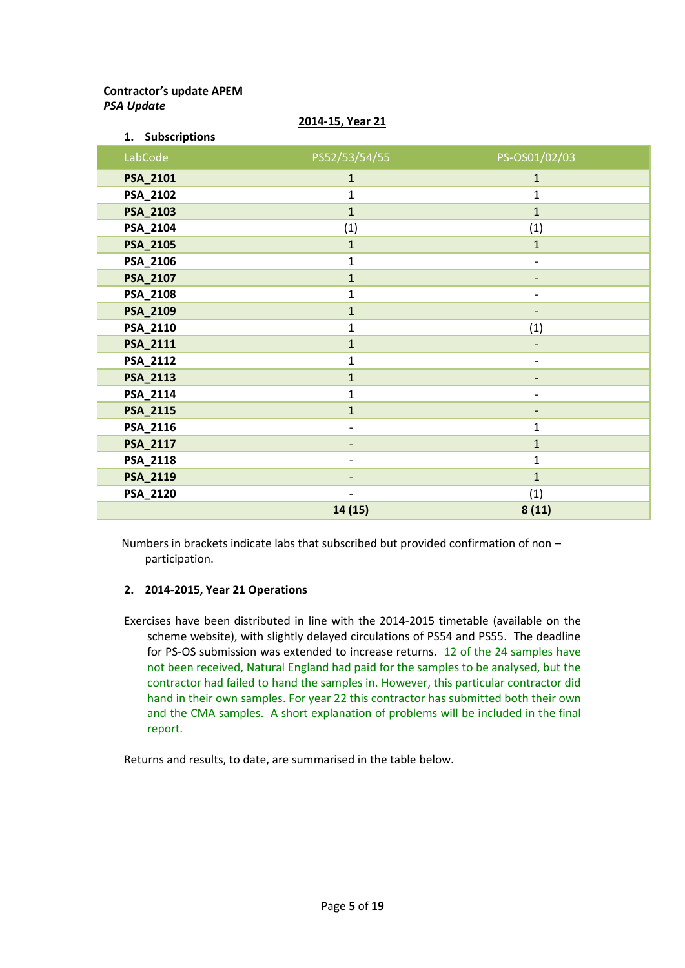# **Contractor's update APEM** *PSA Update*

| 1. Subscriptions |                          |                              |
|------------------|--------------------------|------------------------------|
| LabCode          | PS52/53/54/55            | PS-OS01/02/03                |
| PSA_2101         | $\mathbf{1}$             | $\mathbf{1}$                 |
| PSA_2102         | $\mathbf{1}$             | $\mathbf{1}$                 |
| <b>PSA_2103</b>  | $\mathbf{1}$             | $\mathbf{1}$                 |
| PSA_2104         | (1)                      | (1)                          |
| <b>PSA_2105</b>  | $\mathbf{1}$             | $\mathbf{1}$                 |
| PSA_2106         | $\mathbf{1}$             | $\qquad \qquad -$            |
| PSA_2107         | $\mathbf{1}$             | $\overline{\phantom{a}}$     |
| PSA_2108         | $\mathbf{1}$             | $\overline{\phantom{a}}$     |
| PSA_2109         | $\mathbf{1}$             | $\qquad \qquad \blacksquare$ |
| PSA_2110         | $\mathbf{1}$             | (1)                          |
| PSA_2111         | $\mathbf{1}$             |                              |
| PSA_2112         | $\mathbf{1}$             | $\overline{\phantom{0}}$     |
| <b>PSA_2113</b>  | $\mathbf{1}$             | $\overline{\phantom{0}}$     |
| PSA_2114         | $\mathbf{1}$             | $\overline{\phantom{a}}$     |
| <b>PSA_2115</b>  | $\mathbf{1}$             |                              |
| PSA_2116         | $\overline{\phantom{a}}$ | $\mathbf{1}$                 |
| <b>PSA_2117</b>  |                          | $\mathbf{1}$                 |
| PSA_2118         |                          | $\mathbf{1}$                 |
| PSA_2119         | $\overline{\phantom{0}}$ | $\mathbf{1}$                 |
| PSA_2120         | $\overline{\phantom{0}}$ | (1)                          |
|                  | 14 (15)                  | 8(11)                        |

#### **2014-15, Year 21**

Numbers in brackets indicate labs that subscribed but provided confirmation of non – participation.

## **2. 2014-2015, Year 21 Operations**

Exercises have been distributed in line with the 2014-2015 timetable (available on the scheme website), with slightly delayed circulations of PS54 and PS55. The deadline for PS-OS submission was extended to increase returns. 12 of the 24 samples have not been received, Natural England had paid for the samples to be analysed, but the contractor had failed to hand the samples in. However, this particular contractor did hand in their own samples. For year 22 this contractor has submitted both their own and the CMA samples. A short explanation of problems will be included in the final report.

Returns and results, to date, are summarised in the table below.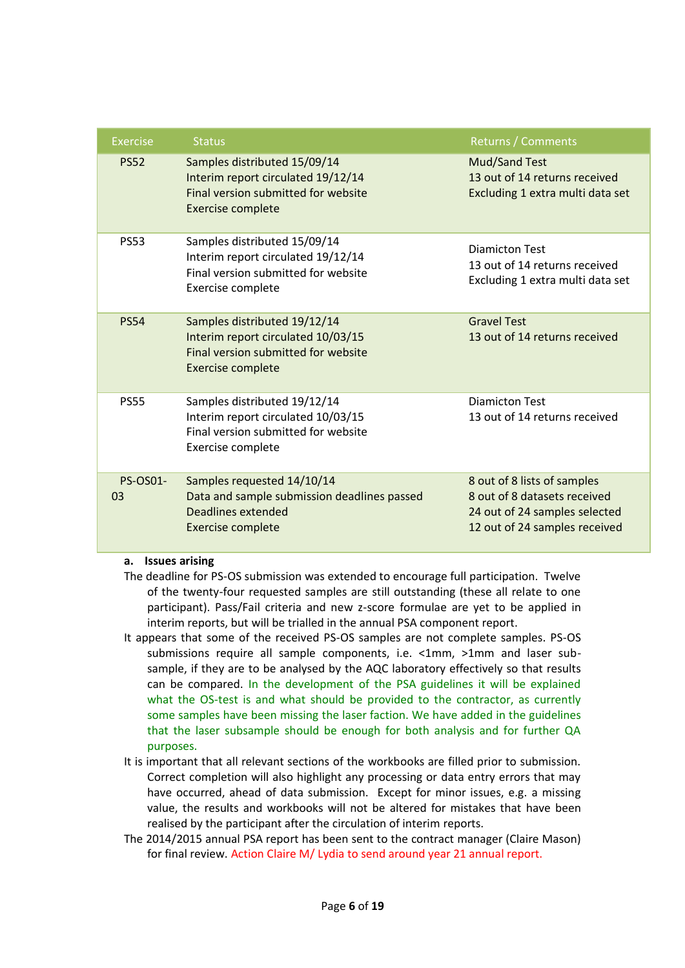| <b>Exercise</b>       | <b>Status</b>                                                                                                                         | <b>Returns / Comments</b>                                                                                                     |
|-----------------------|---------------------------------------------------------------------------------------------------------------------------------------|-------------------------------------------------------------------------------------------------------------------------------|
| <b>PS52</b>           | Samples distributed 15/09/14<br>Interim report circulated 19/12/14<br>Final version submitted for website<br><b>Exercise complete</b> | <b>Mud/Sand Test</b><br>13 out of 14 returns received<br>Excluding 1 extra multi data set                                     |
| <b>PS53</b>           | Samples distributed 15/09/14<br>Interim report circulated 19/12/14<br>Final version submitted for website<br>Exercise complete        | <b>Diamicton Test</b><br>13 out of 14 returns received<br>Excluding 1 extra multi data set                                    |
| <b>PS54</b>           | Samples distributed 19/12/14<br>Interim report circulated 10/03/15<br>Final version submitted for website<br><b>Exercise complete</b> | <b>Gravel Test</b><br>13 out of 14 returns received                                                                           |
| <b>PS55</b>           | Samples distributed 19/12/14<br>Interim report circulated 10/03/15<br>Final version submitted for website<br>Exercise complete        | Diamicton Test<br>13 out of 14 returns received                                                                               |
| <b>PS-OS01-</b><br>03 | Samples requested 14/10/14<br>Data and sample submission deadlines passed<br>Deadlines extended<br><b>Exercise complete</b>           | 8 out of 8 lists of samples<br>8 out of 8 datasets received<br>24 out of 24 samples selected<br>12 out of 24 samples received |

## **a. Issues arising**

- The deadline for PS-OS submission was extended to encourage full participation. Twelve of the twenty-four requested samples are still outstanding (these all relate to one participant). Pass/Fail criteria and new z-score formulae are yet to be applied in interim reports, but will be trialled in the annual PSA component report.
- It appears that some of the received PS-OS samples are not complete samples. PS-OS submissions require all sample components, i.e. <1mm, >1mm and laser subsample, if they are to be analysed by the AQC laboratory effectively so that results can be compared. In the development of the PSA guidelines it will be explained what the OS-test is and what should be provided to the contractor, as currently some samples have been missing the laser faction. We have added in the guidelines that the laser subsample should be enough for both analysis and for further QA purposes.
- It is important that all relevant sections of the workbooks are filled prior to submission. Correct completion will also highlight any processing or data entry errors that may have occurred, ahead of data submission. Except for minor issues, e.g. a missing value, the results and workbooks will not be altered for mistakes that have been realised by the participant after the circulation of interim reports.
- The 2014/2015 annual PSA report has been sent to the contract manager (Claire Mason) for final review. Action Claire M/ Lydia to send around year 21 annual report.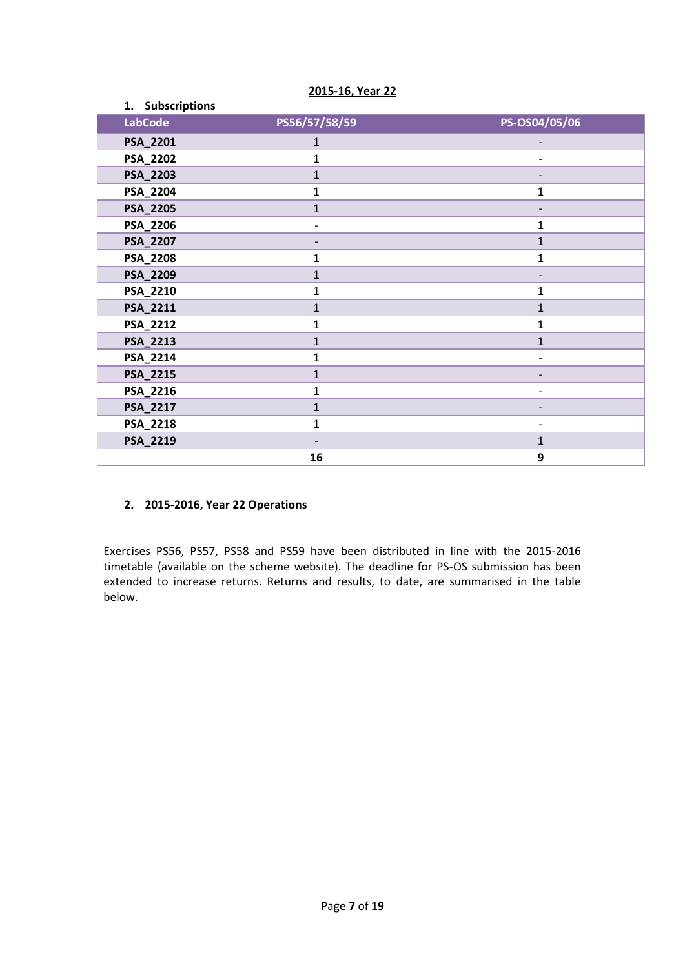| 1. Subscriptions |               |                |
|------------------|---------------|----------------|
| <b>LabCode</b>   | PS56/57/58/59 | PS-OS04/05/06  |
| PSA_2201         | 1             |                |
| PSA_2202         | 1             |                |
| PSA_2203         | $\mathbf{1}$  |                |
| PSA_2204         | 1             | $\mathbf{1}$   |
| PSA_2205         | $\mathbf{1}$  |                |
| PSA_2206         | -             | $\mathbf 1$    |
| PSA_2207         |               | $\mathbf{1}$   |
| PSA_2208         | 1             | $\mathbf 1$    |
| PSA_2209         | $\mathbf{1}$  |                |
| PSA_2210         | 1             | 1              |
| PSA_2211         | $\mathbf{1}$  | $\mathbf{1}$   |
| PSA_2212         | $\mathbf 1$   | $\mathbf 1$    |
| PSA_2213         | $\mathbf{1}$  | $\mathbf{1}$   |
| PSA_2214         | 1             |                |
| PSA_2215         | 1             | $\overline{a}$ |
| PSA_2216         | 1             |                |
| PSA_2217         | $\mathbf{1}$  |                |
| PSA_2218         | $\mathbf{1}$  |                |
| PSA_2219         |               | $\mathbf{1}$   |
|                  | 16            | 9              |

**2015-16, Year 22**

# **2. 2015-2016, Year 22 Operations**

Exercises PS56, PS57, PS58 and PS59 have been distributed in line with the 2015-2016 timetable (available on the scheme website). The deadline for PS-OS submission has been extended to increase returns. Returns and results, to date, are summarised in the table below.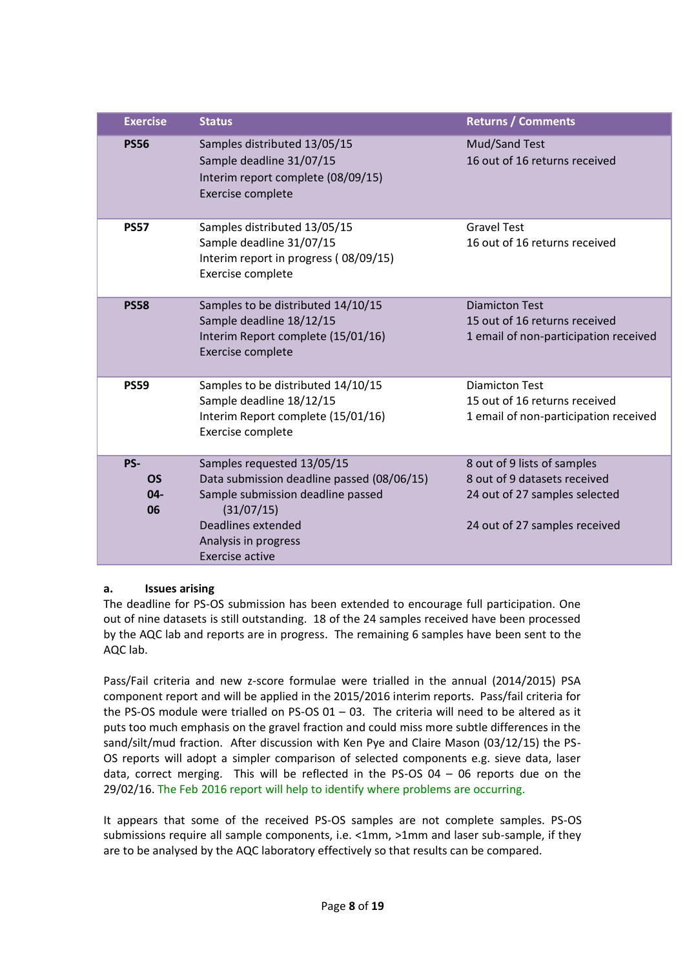| <b>Exercise</b>                  | <b>Status</b>                                                                                                                                                                                       | <b>Returns / Comments</b>                                                                                                     |
|----------------------------------|-----------------------------------------------------------------------------------------------------------------------------------------------------------------------------------------------------|-------------------------------------------------------------------------------------------------------------------------------|
| <b>PS56</b>                      | Samples distributed 13/05/15<br>Sample deadline 31/07/15<br>Interim report complete (08/09/15)<br>Exercise complete                                                                                 | Mud/Sand Test<br>16 out of 16 returns received                                                                                |
| <b>PS57</b>                      | Samples distributed 13/05/15<br>Sample deadline 31/07/15<br>Interim report in progress (08/09/15)<br>Exercise complete                                                                              | <b>Gravel Test</b><br>16 out of 16 returns received                                                                           |
| <b>PS58</b>                      | Samples to be distributed 14/10/15<br>Sample deadline 18/12/15<br>Interim Report complete (15/01/16)<br>Exercise complete                                                                           | <b>Diamicton Test</b><br>15 out of 16 returns received<br>1 email of non-participation received                               |
| <b>PS59</b>                      | Samples to be distributed 14/10/15<br>Sample deadline 18/12/15<br>Interim Report complete (15/01/16)<br>Exercise complete                                                                           | <b>Diamicton Test</b><br>15 out of 16 returns received<br>1 email of non-participation received                               |
| PS-<br><b>OS</b><br>$04 -$<br>06 | Samples requested 13/05/15<br>Data submission deadline passed (08/06/15)<br>Sample submission deadline passed<br>(31/07/15)<br>Deadlines extended<br>Analysis in progress<br><b>Exercise active</b> | 8 out of 9 lists of samples<br>8 out of 9 datasets received<br>24 out of 27 samples selected<br>24 out of 27 samples received |

# **a. Issues arising**

The deadline for PS-OS submission has been extended to encourage full participation. One out of nine datasets is still outstanding. 18 of the 24 samples received have been processed by the AQC lab and reports are in progress. The remaining 6 samples have been sent to the AQC lab.

Pass/Fail criteria and new z-score formulae were trialled in the annual (2014/2015) PSA component report and will be applied in the 2015/2016 interim reports. Pass/fail criteria for the PS-OS module were trialled on PS-OS  $01 - 03$ . The criteria will need to be altered as it puts too much emphasis on the gravel fraction and could miss more subtle differences in the sand/silt/mud fraction. After discussion with Ken Pye and Claire Mason (03/12/15) the PS-OS reports will adopt a simpler comparison of selected components e.g. sieve data, laser data, correct merging. This will be reflected in the PS-OS 04 – 06 reports due on the 29/02/16. The Feb 2016 report will help to identify where problems are occurring.

It appears that some of the received PS-OS samples are not complete samples. PS-OS submissions require all sample components, i.e. <1mm, >1mm and laser sub-sample, if they are to be analysed by the AQC laboratory effectively so that results can be compared.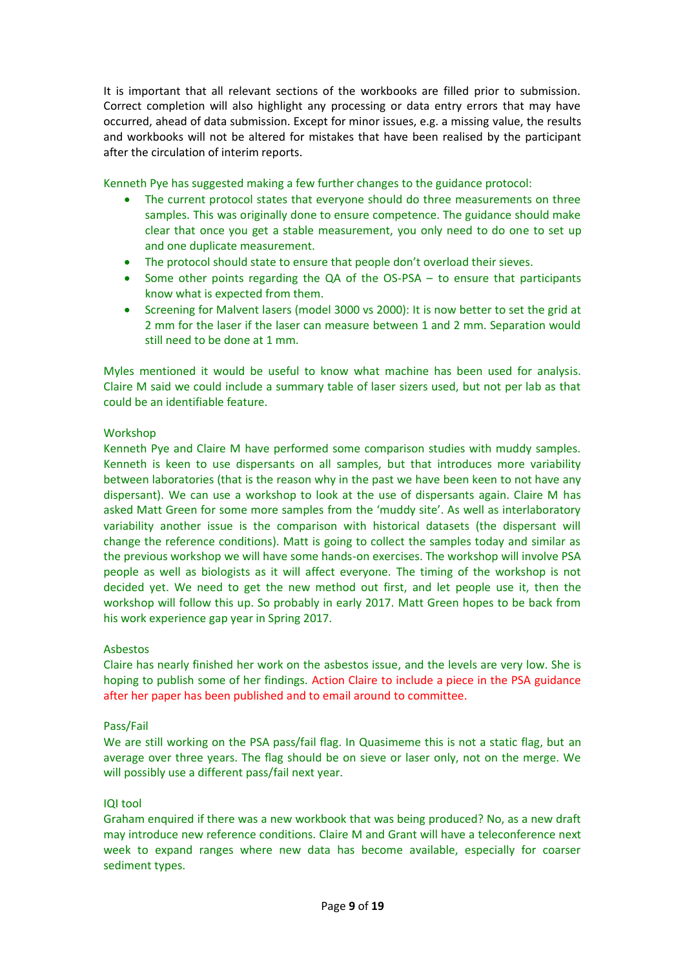It is important that all relevant sections of the workbooks are filled prior to submission. Correct completion will also highlight any processing or data entry errors that may have occurred, ahead of data submission. Except for minor issues, e.g. a missing value, the results and workbooks will not be altered for mistakes that have been realised by the participant after the circulation of interim reports.

Kenneth Pye has suggested making a few further changes to the guidance protocol:

- The current protocol states that everyone should do three measurements on three samples. This was originally done to ensure competence. The guidance should make clear that once you get a stable measurement, you only need to do one to set up and one duplicate measurement.
- The protocol should state to ensure that people don't overload their sieves.
- Some other points regarding the QA of the OS-PSA to ensure that participants know what is expected from them.
- Screening for Malvent lasers (model 3000 vs 2000): It is now better to set the grid at 2 mm for the laser if the laser can measure between 1 and 2 mm. Separation would still need to be done at 1 mm.

Myles mentioned it would be useful to know what machine has been used for analysis. Claire M said we could include a summary table of laser sizers used, but not per lab as that could be an identifiable feature.

## **Workshop**

Kenneth Pye and Claire M have performed some comparison studies with muddy samples. Kenneth is keen to use dispersants on all samples, but that introduces more variability between laboratories (that is the reason why in the past we have been keen to not have any dispersant). We can use a workshop to look at the use of dispersants again. Claire M has asked Matt Green for some more samples from the 'muddy site'. As well as interlaboratory variability another issue is the comparison with historical datasets (the dispersant will change the reference conditions). Matt is going to collect the samples today and similar as the previous workshop we will have some hands-on exercises. The workshop will involve PSA people as well as biologists as it will affect everyone. The timing of the workshop is not decided yet. We need to get the new method out first, and let people use it, then the workshop will follow this up. So probably in early 2017. Matt Green hopes to be back from his work experience gap year in Spring 2017.

## Asbestos

Claire has nearly finished her work on the asbestos issue, and the levels are very low. She is hoping to publish some of her findings. Action Claire to include a piece in the PSA guidance after her paper has been published and to email around to committee.

## Pass/Fail

We are still working on the PSA pass/fail flag. In Quasimeme this is not a static flag, but an average over three years. The flag should be on sieve or laser only, not on the merge. We will possibly use a different pass/fail next year.

## IQI tool

Graham enquired if there was a new workbook that was being produced? No, as a new draft may introduce new reference conditions. Claire M and Grant will have a teleconference next week to expand ranges where new data has become available, especially for coarser sediment types.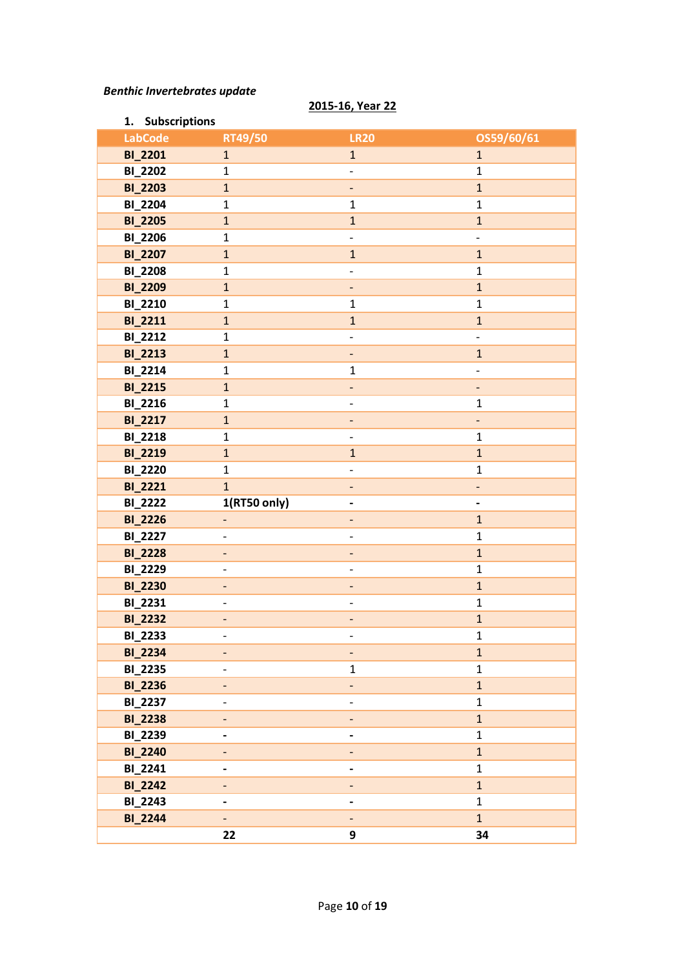## *Benthic Invertebrates update*

## **2015-16, Year 22**

| 1. Subscriptions |                          |                              |                              |
|------------------|--------------------------|------------------------------|------------------------------|
| <b>LabCode</b>   | RT49/50                  | <b>LR20</b>                  | OS59/60/61                   |
| <b>BI_2201</b>   | $\mathbf{1}$             | $\mathbf{1}$                 | $\mathbf{1}$                 |
| <b>BI_2202</b>   | $\mathbf 1$              |                              | $\mathbf{1}$                 |
| <b>BI_2203</b>   | $\mathbf{1}$             | $\overline{\phantom{a}}$     | $\mathbf{1}$                 |
| <b>BI_2204</b>   | $\mathbf{1}$             | $\mathbf{1}$                 | $\mathbf{1}$                 |
| <b>BI_2205</b>   | $\mathbf{1}$             | $\mathbf{1}$                 | $\mathbf{1}$                 |
| <b>BI_2206</b>   | $\mathbf 1$              | $\overline{\phantom{a}}$     | $\frac{1}{2}$                |
| <b>BI_2207</b>   | $\mathbf{1}$             | $\mathbf{1}$                 | $\mathbf{1}$                 |
| <b>BI_2208</b>   | $\mathbf 1$              | $\overline{\phantom{0}}$     | $\mathbf{1}$                 |
| <b>BI_2209</b>   | $\mathbf{1}$             | $\overline{\phantom{a}}$     | $\mathbf{1}$                 |
| <b>BI_2210</b>   | $\mathbf{1}$             | $\mathbf{1}$                 | $\mathbf{1}$                 |
| <b>BI_2211</b>   | $\mathbf{1}$             | $\mathbf{1}$                 | $\mathbf{1}$                 |
| <b>BI_2212</b>   | $\mathbf 1$              | $\overline{\phantom{a}}$     | $\overline{\phantom{0}}$     |
| <b>BI_2213</b>   | $\mathbf{1}$             | ٠                            | $\mathbf{1}$                 |
| <b>BI_2214</b>   | $\mathbf 1$              | $\mathbf{1}$                 | $\overline{\phantom{0}}$     |
| <b>BI_2215</b>   | $\mathbf{1}$             | $\overline{\phantom{0}}$     | $\qquad \qquad \blacksquare$ |
| <b>BI_2216</b>   | $\mathbf 1$              | $\overline{\phantom{0}}$     | $\mathbf{1}$                 |
| <b>BI_2217</b>   | $\mathbf{1}$             |                              | -                            |
| <b>BI_2218</b>   | $\mathbf 1$              | $\overline{\phantom{0}}$     | $\mathbf{1}$                 |
| <b>BI_2219</b>   | $\mathbf{1}$             | $\mathbf{1}$                 | $\mathbf{1}$                 |
| <b>BI_2220</b>   | $\mathbf{1}$             | $\overline{\phantom{a}}$     | $\mathbf{1}$                 |
| <b>BI_2221</b>   | $\overline{1}$           | $\qquad \qquad -$            | $\overline{\phantom{0}}$     |
| <b>BI_2222</b>   | 1(RT50 only)             | $\qquad \qquad \blacksquare$ | $\overline{\phantom{0}}$     |
| <b>BI_2226</b>   | $\overline{\phantom{0}}$ | $\qquad \qquad -$            | $\mathbf{1}$                 |
| <b>BI_2227</b>   | -                        | $\overline{\phantom{0}}$     | $\mathbf{1}$                 |
| <b>BI_2228</b>   | -                        | $\overline{\phantom{0}}$     | $\mathbf{1}$                 |
| <b>BI_2229</b>   | $\overline{a}$           | $\overline{\phantom{0}}$     | $\mathbf{1}$                 |
| <b>BI_2230</b>   | -                        |                              | $\mathbf 1$                  |
| BI_2231          | $\overline{\phantom{0}}$ | $\overline{\phantom{a}}$     | $\mathbf{1}$                 |
| <b>BI_2232</b>   | -                        | $\overline{\phantom{0}}$     | $\mathbf{1}$                 |
| BI_2233          | -                        | -                            | 1                            |
| <b>BI_2234</b>   |                          |                              | $\mathbf{1}$                 |
| <b>BI_2235</b>   |                          | $\mathbf{1}$                 | $\mathbf{1}$                 |
| <b>BI_2236</b>   | $\overline{\phantom{0}}$ | $\overline{\phantom{a}}$     | $\mathbf{1}$                 |
| <b>BI_2237</b>   |                          |                              | $\mathbf 1$                  |
| <b>BI_2238</b>   | -                        | $\overline{\phantom{a}}$     | $\mathbf{1}$                 |
| <b>BI_2239</b>   |                          |                              | $\mathbf{1}$                 |
| <b>BI_2240</b>   |                          |                              | $\mathbf{1}$                 |
| BI_2241          |                          |                              | $\mathbf{1}$                 |
| <b>BI_2242</b>   | -                        |                              | $\mathbf{1}$                 |
| <b>BI_2243</b>   | -                        |                              | $\mathbf{1}$                 |
| <b>BI_2244</b>   |                          |                              | $\mathbf{1}$                 |
|                  | 22                       | 9                            | 34                           |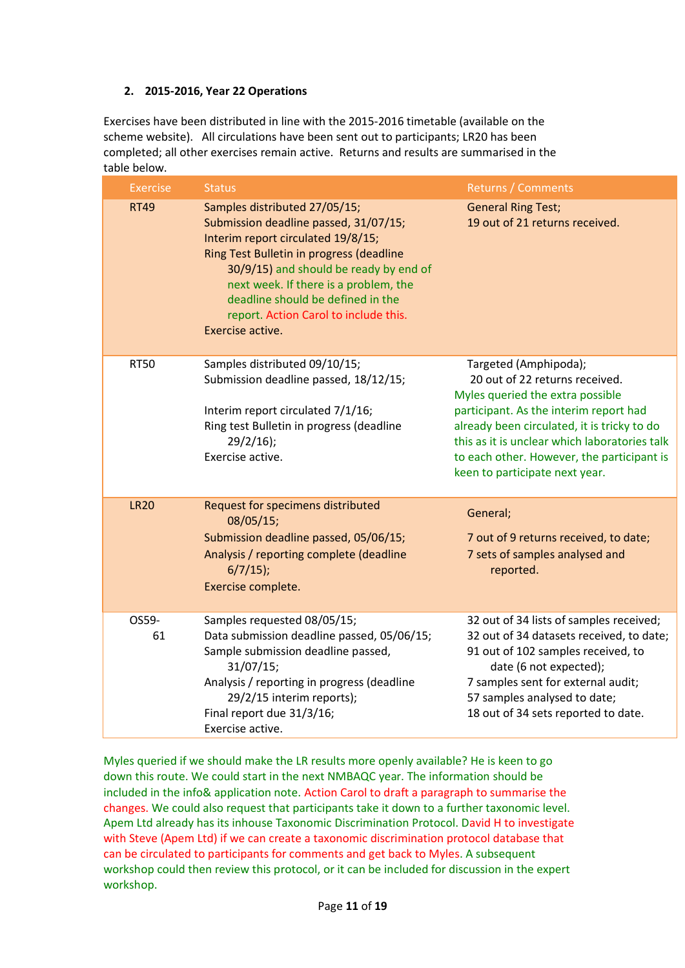# **2. 2015-2016, Year 22 Operations**

Exercises have been distributed in line with the 2015-2016 timetable (available on the scheme website). All circulations have been sent out to participants; LR20 has been completed; all other exercises remain active. Returns and results are summarised in the table below.

| <b>Exercise</b> | <b>Status</b>                                                                                                                                                                                                                                                                                                                                 | <b>Returns / Comments</b>                                                                                                                                                                                                                                                                                             |
|-----------------|-----------------------------------------------------------------------------------------------------------------------------------------------------------------------------------------------------------------------------------------------------------------------------------------------------------------------------------------------|-----------------------------------------------------------------------------------------------------------------------------------------------------------------------------------------------------------------------------------------------------------------------------------------------------------------------|
| <b>RT49</b>     | Samples distributed 27/05/15;<br>Submission deadline passed, 31/07/15;<br>Interim report circulated 19/8/15;<br>Ring Test Bulletin in progress (deadline<br>30/9/15) and should be ready by end of<br>next week. If there is a problem, the<br>deadline should be defined in the<br>report. Action Carol to include this.<br>Exercise active. | <b>General Ring Test;</b><br>19 out of 21 returns received.                                                                                                                                                                                                                                                           |
| <b>RT50</b>     | Samples distributed 09/10/15;<br>Submission deadline passed, 18/12/15;<br>Interim report circulated 7/1/16;<br>Ring test Bulletin in progress (deadline<br>$29/2/16$ ;<br>Exercise active.                                                                                                                                                    | Targeted (Amphipoda);<br>20 out of 22 returns received.<br>Myles queried the extra possible<br>participant. As the interim report had<br>already been circulated, it is tricky to do<br>this as it is unclear which laboratories talk<br>to each other. However, the participant is<br>keen to participate next year. |
| <b>LR20</b>     | Request for specimens distributed<br>08/05/15;<br>Submission deadline passed, 05/06/15;<br>Analysis / reporting complete (deadline<br>$6/7/15$ ;<br>Exercise complete.                                                                                                                                                                        | General;<br>7 out of 9 returns received, to date;<br>7 sets of samples analysed and<br>reported.                                                                                                                                                                                                                      |
| OS59-<br>61     | Samples requested 08/05/15;<br>Data submission deadline passed, 05/06/15;<br>Sample submission deadline passed,<br>31/07/15;<br>Analysis / reporting in progress (deadline<br>29/2/15 interim reports);<br>Final report due 31/3/16;<br>Exercise active.                                                                                      | 32 out of 34 lists of samples received;<br>32 out of 34 datasets received, to date;<br>91 out of 102 samples received, to<br>date (6 not expected);<br>7 samples sent for external audit;<br>57 samples analysed to date;<br>18 out of 34 sets reported to date.                                                      |

Myles queried if we should make the LR results more openly available? He is keen to go down this route. We could start in the next NMBAQC year. The information should be included in the info& application note. Action Carol to draft a paragraph to summarise the changes. We could also request that participants take it down to a further taxonomic level. Apem Ltd already has its inhouse Taxonomic Discrimination Protocol. David H to investigate with Steve (Apem Ltd) if we can create a taxonomic discrimination protocol database that can be circulated to participants for comments and get back to Myles. A subsequent workshop could then review this protocol, or it can be included for discussion in the expert workshop.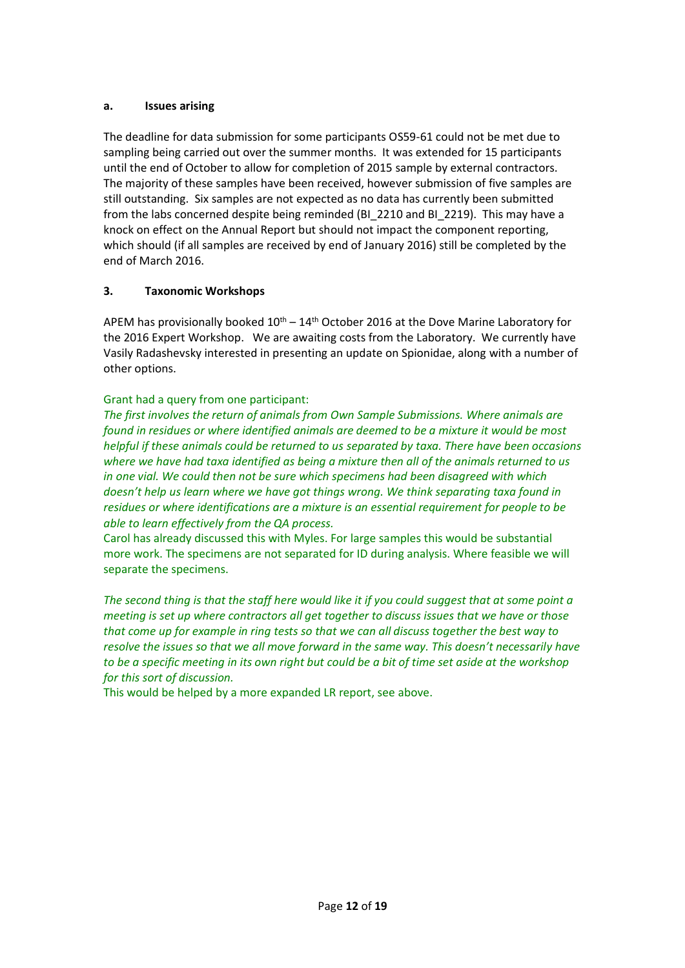## **a. Issues arising**

The deadline for data submission for some participants OS59-61 could not be met due to sampling being carried out over the summer months. It was extended for 15 participants until the end of October to allow for completion of 2015 sample by external contractors. The majority of these samples have been received, however submission of five samples are still outstanding. Six samples are not expected as no data has currently been submitted from the labs concerned despite being reminded (BI\_2210 and BI\_2219). This may have a knock on effect on the Annual Report but should not impact the component reporting, which should (if all samples are received by end of January 2016) still be completed by the end of March 2016.

# **3. Taxonomic Workshops**

APEM has provisionally booked  $10<sup>th</sup> - 14<sup>th</sup>$  October 2016 at the Dove Marine Laboratory for the 2016 Expert Workshop. We are awaiting costs from the Laboratory. We currently have Vasily Radashevsky interested in presenting an update on Spionidae, along with a number of other options.

# Grant had a query from one participant:

*The first involves the return of animals from Own Sample Submissions. Where animals are found in residues or where identified animals are deemed to be a mixture it would be most helpful if these animals could be returned to us separated by taxa. There have been occasions where we have had taxa identified as being a mixture then all of the animals returned to us in one vial. We could then not be sure which specimens had been disagreed with which doesn't help us learn where we have got things wrong. We think separating taxa found in residues or where identifications are a mixture is an essential requirement for people to be able to learn effectively from the QA process.*

Carol has already discussed this with Myles. For large samples this would be substantial more work. The specimens are not separated for ID during analysis. Where feasible we will separate the specimens.

*The second thing is that the staff here would like it if you could suggest that at some point a meeting is set up where contractors all get together to discuss issues that we have or those that come up for example in ring tests so that we can all discuss together the best way to resolve the issues so that we all move forward in the same way. This doesn't necessarily have to be a specific meeting in its own right but could be a bit of time set aside at the workshop for this sort of discussion.*

This would be helped by a more expanded LR report, see above.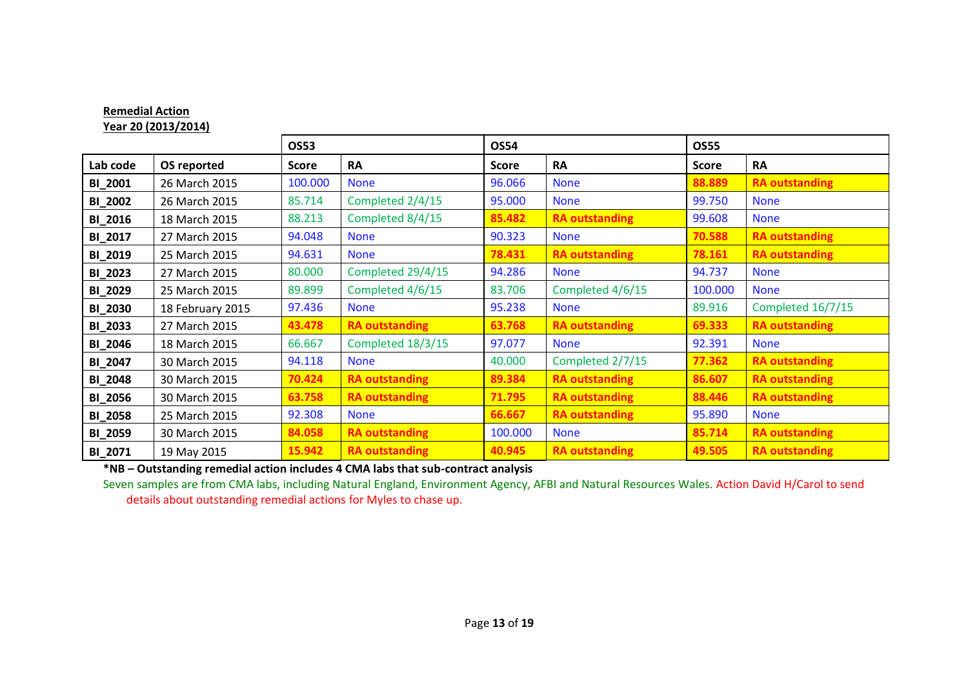|                | Year 20 (2013/2014) |              |                       |              |                       |              |                       |
|----------------|---------------------|--------------|-----------------------|--------------|-----------------------|--------------|-----------------------|
|                |                     | <b>OS53</b>  |                       | <b>OS54</b>  |                       | <b>OS55</b>  |                       |
| Lab code       | OS reported         | <b>Score</b> | <b>RA</b>             | <b>Score</b> | <b>RA</b>             | <b>Score</b> | <b>RA</b>             |
| <b>BI_2001</b> | 26 March 2015       | 100.000      | <b>None</b>           | 96.066       | <b>None</b>           | 88.889       | <b>RA outstanding</b> |
| <b>BI_2002</b> | 26 March 2015       | 85.714       | Completed 2/4/15      | 95.000       | <b>None</b>           | 99.750       | <b>None</b>           |
| <b>BI_2016</b> | 18 March 2015       | 88.213       | Completed 8/4/15      | 85.482       | <b>RA outstanding</b> | 99.608       | <b>None</b>           |
| BI_2017        | 27 March 2015       | 94.048       | <b>None</b>           | 90.323       | <b>None</b>           | 70.588       | <b>RA outstanding</b> |
| <b>BI_2019</b> | 25 March 2015       | 94.631       | <b>None</b>           | 78.431       | <b>RA outstanding</b> | 78.161       | <b>RA outstanding</b> |
| <b>BI_2023</b> | 27 March 2015       | 80.000       | Completed 29/4/15     | 94.286       | <b>None</b>           | 94.737       | <b>None</b>           |
| <b>BI_2029</b> | 25 March 2015       | 89.899       | Completed 4/6/15      | 83.706       | Completed 4/6/15      | 100.000      | <b>None</b>           |
| <b>BI_2030</b> | 18 February 2015    | 97.436       | <b>None</b>           | 95.238       | <b>None</b>           | 89.916       | Completed 16/7/15     |
| <b>BI_2033</b> | 27 March 2015       | 43.478       | <b>RA outstanding</b> | 63.768       | <b>RA outstanding</b> | 69.333       | <b>RA outstanding</b> |
| <b>BI_2046</b> | 18 March 2015       | 66.667       | Completed 18/3/15     | 97.077       | <b>None</b>           | 92.391       | <b>None</b>           |
| <b>BI_2047</b> | 30 March 2015       | 94.118       | <b>None</b>           | 40.000       | Completed 2/7/15      | 77.362       | <b>RA outstanding</b> |
| <b>BI_2048</b> | 30 March 2015       | 70.424       | <b>RA outstanding</b> | 89.384       | <b>RA outstanding</b> | 86.607       | <b>RA outstanding</b> |
| <b>BI_2056</b> | 30 March 2015       | 63.758       | <b>RA outstanding</b> | 71.795       | <b>RA outstanding</b> | 88.446       | <b>RA outstanding</b> |
| <b>BI_2058</b> | 25 March 2015       | 92.308       | <b>None</b>           | 66.667       | <b>RA outstanding</b> | 95.890       | <b>None</b>           |
| <b>BI_2059</b> | 30 March 2015       | 84.058       | <b>RA outstanding</b> | 100.000      | <b>None</b>           | 85.714       | <b>RA outstanding</b> |
| BI_2071        | 19 May 2015         | 15.942       | <b>RA outstanding</b> | 40.945       | <b>RA outstanding</b> | 49.505       | <b>RA outstanding</b> |

**\*NB – Outstanding remedial action includes 4 CMA labs that sub-contract analysis**

**Remedial Action**

Seven samples are from CMA labs, including Natural England, Environment Agency, AFBI and Natural Resources Wales. Action David H/Carol to send details about outstanding remedial actions for Myles to chase up.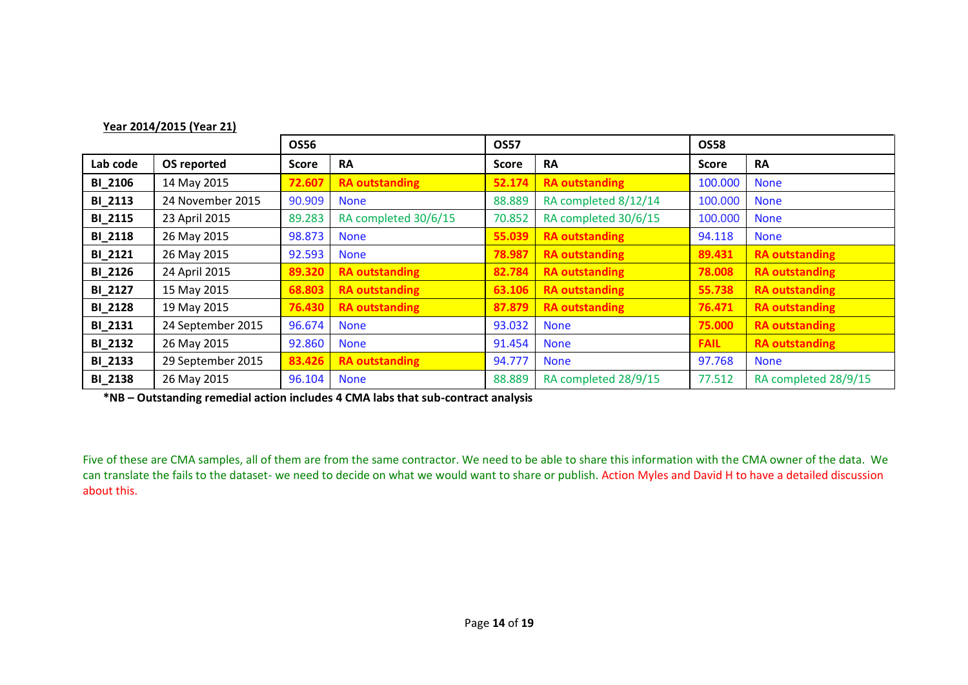| Year 2014/2015 (Year 21) |                   |              |                       |        |                       |              |                       |
|--------------------------|-------------------|--------------|-----------------------|--------|-----------------------|--------------|-----------------------|
| <b>OS56</b>              |                   |              | <b>OS57</b>           |        | <b>OS58</b>           |              |                       |
| Lab code                 | OS reported       | <b>Score</b> | <b>RA</b>             | Score  | <b>RA</b>             | <b>Score</b> | <b>RA</b>             |
| <b>BI_2106</b>           | 14 May 2015       | 72.607       | <b>RA outstanding</b> | 52.174 | <b>RA outstanding</b> | 100.000      | <b>None</b>           |
| <b>BI_2113</b>           | 24 November 2015  | 90.909       | <b>None</b>           | 88.889 | RA completed 8/12/14  | 100.000      | <b>None</b>           |
| <b>BI_2115</b>           | 23 April 2015     | 89.283       | RA completed 30/6/15  | 70.852 | RA completed 30/6/15  | 100.000      | <b>None</b>           |
| <b>BI_2118</b>           | 26 May 2015       | 98.873       | <b>None</b>           | 55.039 | <b>RA outstanding</b> | 94.118       | <b>None</b>           |
| <b>BI_2121</b>           | 26 May 2015       | 92.593       | <b>None</b>           | 78.987 | <b>RA outstanding</b> | 89.431       | <b>RA outstanding</b> |
| <b>BI_2126</b>           | 24 April 2015     | 89.320       | <b>RA outstanding</b> | 82.784 | <b>RA outstanding</b> | 78.008       | <b>RA outstanding</b> |
| <b>BI_2127</b>           | 15 May 2015       | 68.803       | <b>RA outstanding</b> | 63.106 | <b>RA outstanding</b> | 55.738       | <b>RA outstanding</b> |
| <b>BI_2128</b>           | 19 May 2015       | 76.430       | <b>RA outstanding</b> | 87.879 | <b>RA outstanding</b> | 76.471       | <b>RA outstanding</b> |
| <b>BI_2131</b>           | 24 September 2015 | 96.674       | <b>None</b>           | 93.032 | <b>None</b>           | 75.000       | <b>RA outstanding</b> |
| <b>BI_2132</b>           | 26 May 2015       | 92.860       | <b>None</b>           | 91.454 | <b>None</b>           | <b>FAIL</b>  | <b>RA outstanding</b> |
| <b>BI_2133</b>           | 29 September 2015 | 83.426       | <b>RA outstanding</b> | 94.777 | <b>None</b>           | 97.768       | <b>None</b>           |
| <b>BI_2138</b>           | 26 May 2015       | 96.104       | <b>None</b>           | 88.889 | RA completed 28/9/15  | 77.512       | RA completed 28/9/15  |

**\*NB – Outstanding remedial action includes 4 CMA labs that sub-contract analysis**

Five of these are CMA samples, all of them are from the same contractor. We need to be able to share this information with the CMA owner of the data. We can translate the fails to the dataset- we need to decide on what we would want to share or publish. Action Myles and David H to have a detailed discussion about this.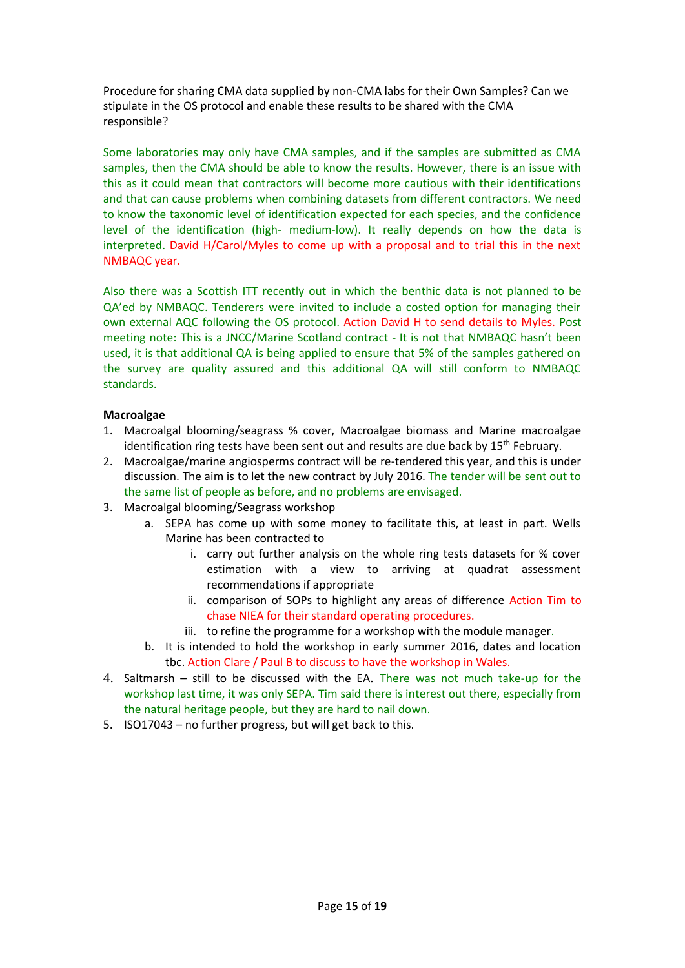Procedure for sharing CMA data supplied by non-CMA labs for their Own Samples? Can we stipulate in the OS protocol and enable these results to be shared with the CMA responsible?

Some laboratories may only have CMA samples, and if the samples are submitted as CMA samples, then the CMA should be able to know the results. However, there is an issue with this as it could mean that contractors will become more cautious with their identifications and that can cause problems when combining datasets from different contractors. We need to know the taxonomic level of identification expected for each species, and the confidence level of the identification (high- medium-low). It really depends on how the data is interpreted. David H/Carol/Myles to come up with a proposal and to trial this in the next NMBAQC year.

Also there was a Scottish ITT recently out in which the benthic data is not planned to be QA'ed by NMBAQC. Tenderers were invited to include a costed option for managing their own external AQC following the OS protocol. Action David H to send details to Myles. Post meeting note: This is a JNCC/Marine Scotland contract - It is not that NMBAQC hasn't been used, it is that additional QA is being applied to ensure that 5% of the samples gathered on the survey are quality assured and this additional QA will still conform to NMBAQC standards.

## **Macroalgae**

- 1. Macroalgal blooming/seagrass % cover, Macroalgae biomass and Marine macroalgae identification ring tests have been sent out and results are due back by 15<sup>th</sup> February.
- 2. Macroalgae/marine angiosperms contract will be re-tendered this year, and this is under discussion. The aim is to let the new contract by July 2016. The tender will be sent out to the same list of people as before, and no problems are envisaged.
- 3. Macroalgal blooming/Seagrass workshop
	- a. SEPA has come up with some money to facilitate this, at least in part. Wells Marine has been contracted to
		- i. carry out further analysis on the whole ring tests datasets for % cover estimation with a view to arriving at quadrat assessment recommendations if appropriate
		- ii. comparison of SOPs to highlight any areas of difference Action Tim to chase NIEA for their standard operating procedures.
		- iii. to refine the programme for a workshop with the module manager.
	- b. It is intended to hold the workshop in early summer 2016, dates and location tbc. Action Clare / Paul B to discuss to have the workshop in Wales.
- 4. Saltmarsh still to be discussed with the EA. There was not much take-up for the workshop last time, it was only SEPA. Tim said there is interest out there, especially from the natural heritage people, but they are hard to nail down.
- 5. ISO17043 no further progress, but will get back to this.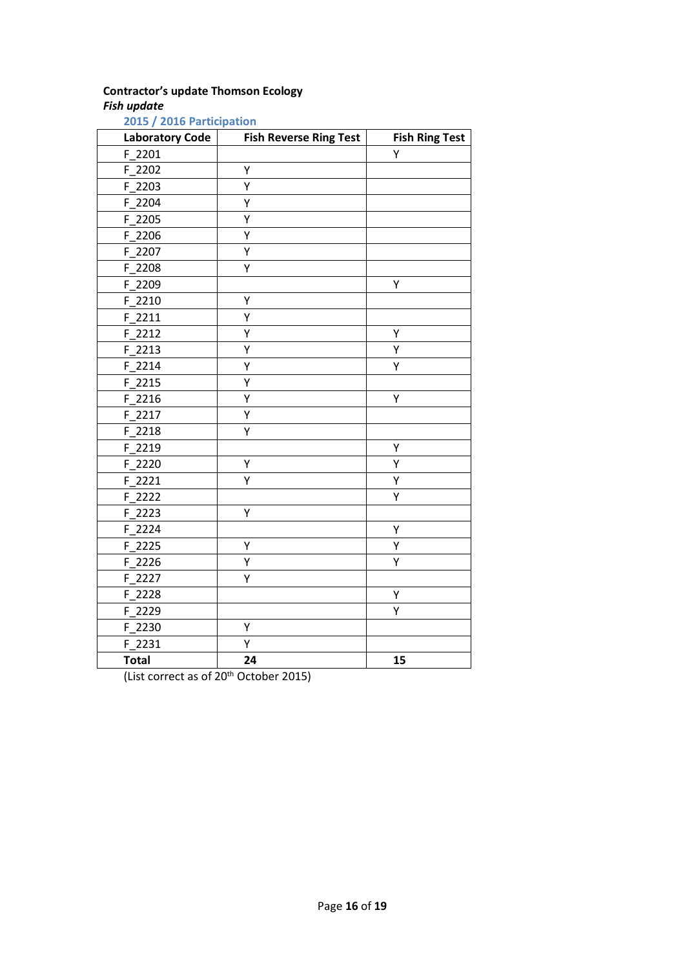# **Contractor's update Thomson Ecology**

# *Fish update*

| <b>Laboratory Code</b> | <b>Fish Reverse Ring Test</b> | <b>Fish Ring Test</b> |
|------------------------|-------------------------------|-----------------------|
| $F_2201$               |                               | Υ                     |
| F 2202                 | Υ                             |                       |
| F 2203                 | Ÿ                             |                       |
| F_2204                 | Υ                             |                       |
| $F_2$ 205              | Y                             |                       |
| F 2206                 | Υ                             |                       |
| F 2207                 | Υ                             |                       |
| F_2208                 | Υ                             |                       |
| F 2209                 |                               | Υ                     |
| $F_2$ 2210             | Υ                             |                       |
| $F_2211$               | Υ                             |                       |
| $F_2212$               | Υ                             | Υ                     |
| F 2213                 | Υ                             | Υ                     |
| F 2214                 | Υ                             | Υ                     |
| F 2215                 | Y                             |                       |
| $F_2216$               | Ý                             | Y                     |
| F_2217                 | Y                             |                       |
| $F_2218$               | Υ                             |                       |
| F_2219                 |                               | Υ                     |
| $F_2220$               | Υ                             | Υ                     |
| F 2221                 | Ý                             | Υ                     |
| F_2222                 |                               | Ý                     |
| F 2223                 | Υ                             |                       |
| F 2224                 |                               | Υ                     |
| F_2225                 | Υ                             | Υ                     |
| $F_2226$               | Υ                             | Υ                     |
| $F_2$ 2227             | Υ                             |                       |
| F_2228                 |                               | Υ                     |
| $F_2$ 2229             |                               | Υ                     |
| F_2230                 | Υ                             |                       |
| $F_2231$               | Υ                             |                       |
| <b>Total</b>           | 24                            | 15                    |

**2015 / 2016 Participation**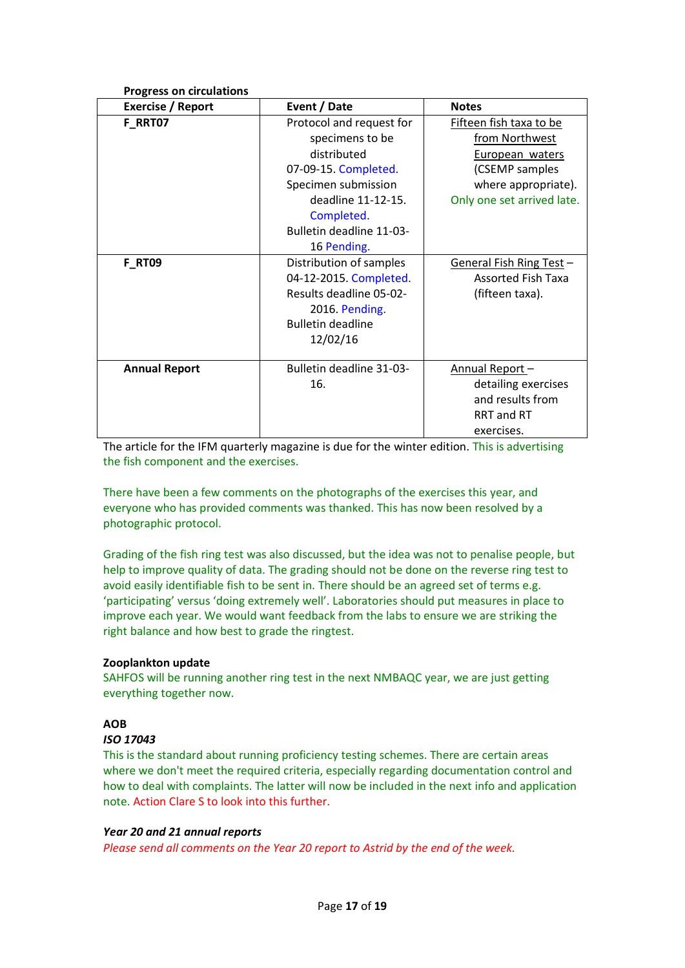| <b>Progress on circulations</b> |                                                                                                                                                                                          |                                                                                                                                     |
|---------------------------------|------------------------------------------------------------------------------------------------------------------------------------------------------------------------------------------|-------------------------------------------------------------------------------------------------------------------------------------|
| <b>Exercise / Report</b>        | Event / Date                                                                                                                                                                             | <b>Notes</b>                                                                                                                        |
| F_RRT07                         | Protocol and request for<br>specimens to be<br>distributed<br>07-09-15. Completed.<br>Specimen submission<br>deadline 11-12-15.<br>Completed.<br>Bulletin deadline 11-03-<br>16 Pending. | Fifteen fish taxa to be<br>from Northwest<br>European waters<br>(CSEMP samples<br>where appropriate).<br>Only one set arrived late. |
| <b>F_RT09</b>                   | Distribution of samples<br>04-12-2015. Completed.<br>Results deadline 05-02-<br>2016. Pending.<br><b>Bulletin deadline</b><br>12/02/16                                                   | General Fish Ring Test -<br><b>Assorted Fish Taxa</b><br>(fifteen taxa).                                                            |
| <b>Annual Report</b>            | Bulletin deadline 31-03-<br>16.                                                                                                                                                          | Annual Report-<br>detailing exercises<br>and results from<br>RRT and RT<br>exercises.                                               |

The article for the IFM quarterly magazine is due for the winter edition. This is advertising the fish component and the exercises.

There have been a few comments on the photographs of the exercises this year, and everyone who has provided comments was thanked. This has now been resolved by a photographic protocol.

Grading of the fish ring test was also discussed, but the idea was not to penalise people, but help to improve quality of data. The grading should not be done on the reverse ring test to avoid easily identifiable fish to be sent in. There should be an agreed set of terms e.g. 'participating' versus 'doing extremely well'. Laboratories should put measures in place to improve each year. We would want feedback from the labs to ensure we are striking the right balance and how best to grade the ringtest.

# **Zooplankton update**

SAHFOS will be running another ring test in the next NMBAQC year, we are just getting everything together now.

# **AOB**

## *ISO 17043*

This is the standard about running proficiency testing schemes. There are certain areas where we don't meet the required criteria, especially regarding documentation control and how to deal with complaints. The latter will now be included in the next info and application note. Action Clare S to look into this further.

## *Year 20 and 21 annual reports*

*Please send all comments on the Year 20 report to Astrid by the end of the week.*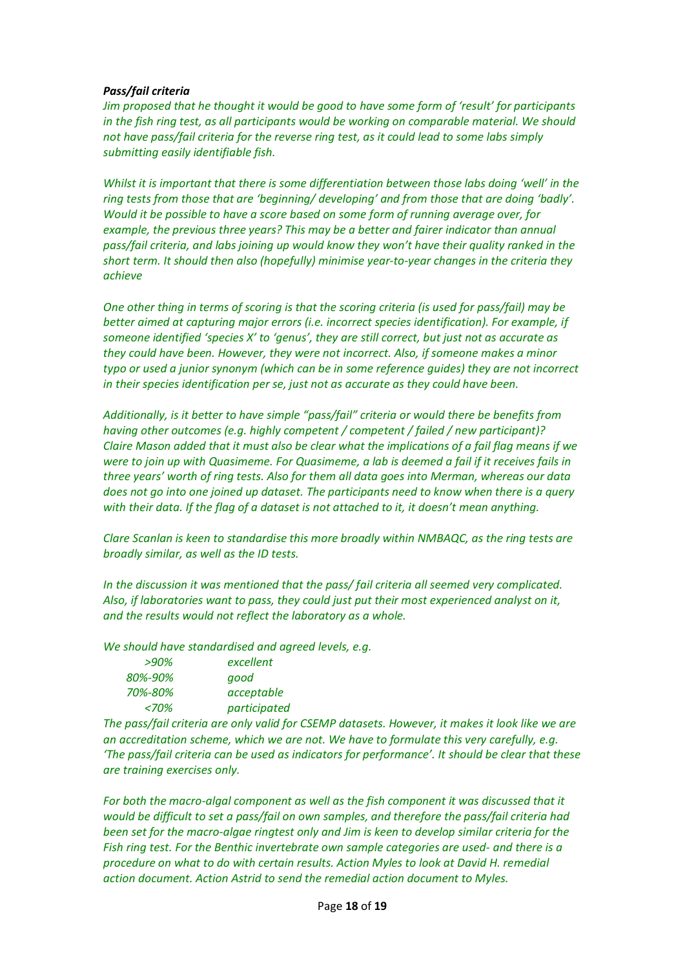## *Pass/fail criteria*

*Jim proposed that he thought it would be good to have some form of 'result' for participants in the fish ring test, as all participants would be working on comparable material. We should not have pass/fail criteria for the reverse ring test, as it could lead to some labs simply submitting easily identifiable fish.*

*Whilst it is important that there is some differentiation between those labs doing 'well' in the ring tests from those that are 'beginning/ developing' and from those that are doing 'badly'. Would it be possible to have a score based on some form of running average over, for example, the previous three years? This may be a better and fairer indicator than annual pass/fail criteria, and labs joining up would know they won't have their quality ranked in the short term. It should then also (hopefully) minimise year-to-year changes in the criteria they achieve*

*One other thing in terms of scoring is that the scoring criteria (is used for pass/fail) may be better aimed at capturing major errors (i.e. incorrect species identification). For example, if someone identified 'species X' to 'genus', they are still correct, but just not as accurate as they could have been. However, they were not incorrect. Also, if someone makes a minor typo or used a junior synonym (which can be in some reference guides) they are not incorrect in their species identification per se, just not as accurate as they could have been.*

*Additionally, is it better to have simple "pass/fail" criteria or would there be benefits from having other outcomes (e.g. highly competent / competent / failed / new participant)? Claire Mason added that it must also be clear what the implications of a fail flag means if we were to join up with Quasimeme. For Quasimeme, a lab is deemed a fail if it receives fails in three years' worth of ring tests. Also for them all data goes into Merman, whereas our data does not go into one joined up dataset. The participants need to know when there is a query with their data. If the flag of a dataset is not attached to it, it doesn't mean anything.*

*Clare Scanlan is keen to standardise this more broadly within NMBAQC, as the ring tests are broadly similar, as well as the ID tests.* 

*In the discussion it was mentioned that the pass/ fail criteria all seemed very complicated. Also, if laboratories want to pass, they could just put their most experienced analyst on it, and the results would not reflect the laboratory as a whole.*

*We should have standardised and agreed levels, e.g.*

| excellent    |
|--------------|
| good         |
| acceptable   |
| participated |
|              |

*The pass/fail criteria are only valid for CSEMP datasets. However, it makes it look like we are an accreditation scheme, which we are not. We have to formulate this very carefully, e.g. 'The pass/fail criteria can be used as indicators for performance'. It should be clear that these are training exercises only.* 

For both the macro-algal component as well as the fish component it was discussed that it *would be difficult to set a pass/fail on own samples, and therefore the pass/fail criteria had been set for the macro-algae ringtest only and Jim is keen to develop similar criteria for the Fish ring test. For the Benthic invertebrate own sample categories are used- and there is a procedure on what to do with certain results. Action Myles to look at David H. remedial action document. Action Astrid to send the remedial action document to Myles.*